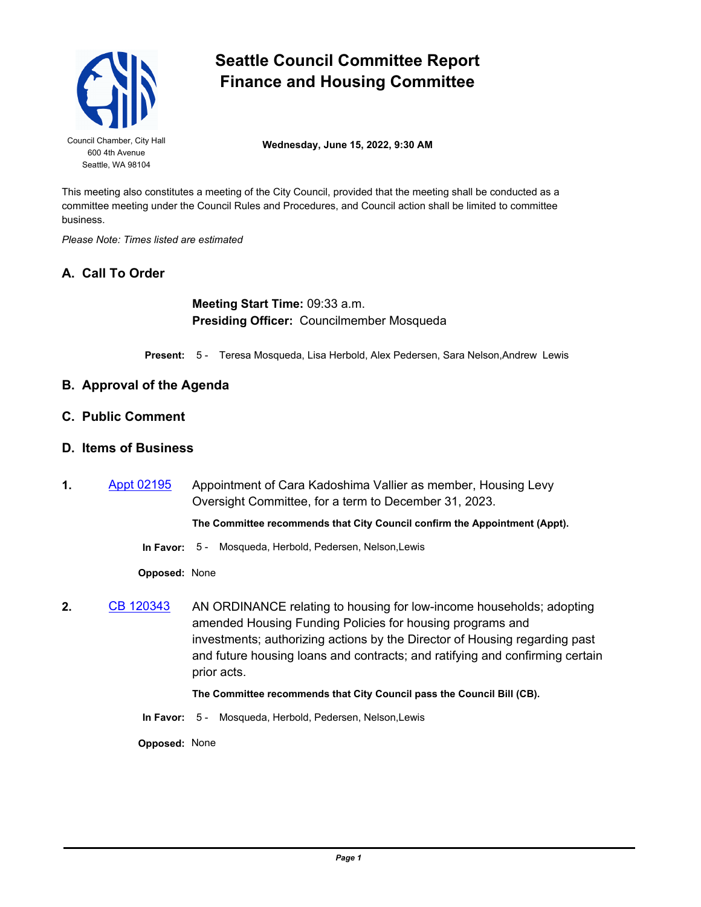

# **Seattle Council Committee Report Finance and Housing Committee**

Council Chamber, City Hall **Wednesday, June 15, 2022, 9:30 AM** 

This meeting also constitutes a meeting of the City Council, provided that the meeting shall be conducted as a committee meeting under the Council Rules and Procedures, and Council action shall be limited to committee business.

*Please Note: Times listed are estimated*

# **A. Call To Order**

**Meeting Start Time:** 09:33 a.m. **Presiding Officer:** Councilmember Mosqueda

**Present:** 5 - Teresa Mosqueda, Lisa Herbold, Alex Pedersen, Sara Nelson,Andrew Lewis

# **B. Approval of the Agenda**

**C. Public Comment**

### **D. Items of Business**

**1.** [Appt 02195](http://seattle.legistar.com/gateway.aspx?m=l&id=/matter.aspx?key=12927) Appointment of Cara Kadoshima Vallier as member, Housing Levy Oversight Committee, for a term to December 31, 2023.

**The Committee recommends that City Council confirm the Appointment (Appt).**

**In Favor:** 5 - Mosqueda, Herbold, Pedersen, Nelson,Lewis

**Opposed:** None

**2.** [CB 120343](http://seattle.legistar.com/gateway.aspx?m=l&id=/matter.aspx?key=12992) AN ORDINANCE relating to housing for low-income households; adopting amended Housing Funding Policies for housing programs and investments; authorizing actions by the Director of Housing regarding past and future housing loans and contracts; and ratifying and confirming certain prior acts.

#### **The Committee recommends that City Council pass the Council Bill (CB).**

**In Favor:** 5 - Mosqueda, Herbold, Pedersen, Nelson,Lewis

**Opposed:** None